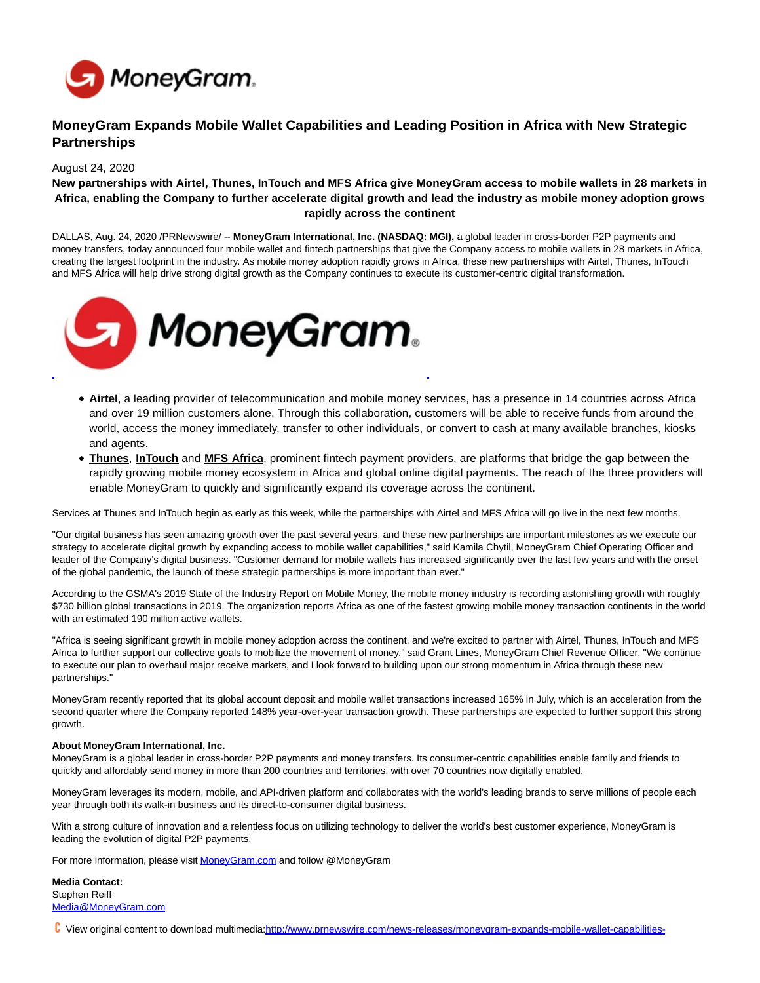

## **MoneyGram Expands Mobile Wallet Capabilities and Leading Position in Africa with New Strategic Partnerships**

## August 24, 2020

## **New partnerships with Airtel, Thunes, InTouch and MFS Africa give MoneyGram access to mobile wallets in 28 markets in Africa, enabling the Company to further accelerate digital growth and lead the industry as mobile money adoption grows rapidly across the continent**

DALLAS, Aug. 24, 2020 /PRNewswire/ -- **MoneyGram International, Inc. (NASDAQ: MGI),** a global leader in cross-border P2P payments and money transfers, today announced four mobile wallet and fintech partnerships that give the Company access to mobile wallets in 28 markets in Africa, creating the largest footprint in the industry. As mobile money adoption rapidly grows in Africa, these new partnerships with Airtel, Thunes, InTouch and MFS Africa will help drive strong digital growth as the Company continues to execute its customer-centric digital transformation.



- **Airtel**, a leading provider of telecommunication and mobile money services, has a presence in 14 countries across Africa and over 19 million customers alone. Through this collaboration, customers will be able to receive funds from around the world, access the money immediately, transfer to other individuals, or convert to cash at many available branches, kiosks and agents.
- **Thunes**, **InTouch** and **MFS Africa**, prominent fintech payment providers, are platforms that bridge the gap between the rapidly growing mobile money ecosystem in Africa and global online digital payments. The reach of the three providers will enable MoneyGram to quickly and significantly expand its coverage across the continent.

Services at Thunes and InTouch begin as early as this week, while the partnerships with Airtel and MFS Africa will go live in the next few months.

"Our digital business has seen amazing growth over the past several years, and these new partnerships are important milestones as we execute our strategy to accelerate digital growth by expanding access to mobile wallet capabilities," said Kamila Chytil, MoneyGram Chief Operating Officer and leader of the Company's digital business. "Customer demand for mobile wallets has increased significantly over the last few years and with the onset of the global pandemic, the launch of these strategic partnerships is more important than ever."

According to the GSMA's 2019 State of the Industry Report on Mobile Money, the mobile money industry is recording astonishing growth with roughly \$730 billion global transactions in 2019. The organization reports Africa as one of the fastest growing mobile money transaction continents in the world with an estimated 190 million active wallets.

"Africa is seeing significant growth in mobile money adoption across the continent, and we're excited to partner with Airtel, Thunes, InTouch and MFS Africa to further support our collective goals to mobilize the movement of money," said Grant Lines, MoneyGram Chief Revenue Officer. "We continue to execute our plan to overhaul major receive markets, and I look forward to building upon our strong momentum in Africa through these new partnerships."

MoneyGram recently reported that its global account deposit and mobile wallet transactions increased 165% in July, which is an acceleration from the second quarter where the Company reported 148% year-over-year transaction growth. These partnerships are expected to further support this strong growth.

## **About MoneyGram International, Inc.**

MoneyGram is a global leader in cross-border P2P payments and money transfers. Its consumer-centric capabilities enable family and friends to quickly and affordably send money in more than 200 countries and territories, with over 70 countries now digitally enabled.

MoneyGram leverages its modern, mobile, and API-driven platform and collaborates with the world's leading brands to serve millions of people each year through both its walk-in business and its direct-to-consumer digital business.

With a strong culture of innovation and a relentless focus on utilizing technology to deliver the world's best customer experience, MoneyGram is leading the evolution of digital P2P payments.

For more information, please visi[t MoneyGram.com a](http://moneygram.com/)nd follow @MoneyGram

**Media Contact:** Stephen Reiff [Media@MoneyGram.com](mailto:Media@MoneyGram.com)

**C** View original content to download multimedia: http://www.prnewswire.com/news-releases/moneygram-expands-mobile-wallet-capabilities-